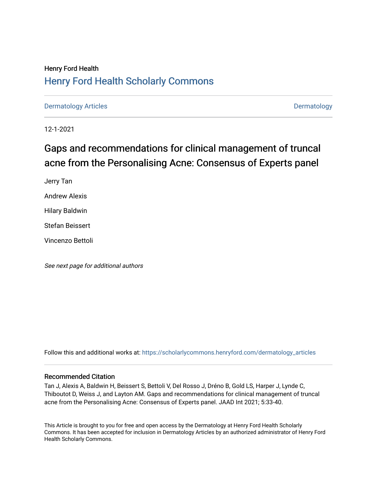## Henry Ford Health [Henry Ford Health Scholarly Commons](https://scholarlycommons.henryford.com/)

[Dermatology Articles](https://scholarlycommons.henryford.com/dermatology_articles) **Dermatology** 

12-1-2021

## Gaps and recommendations for clinical management of truncal acne from the Personalising Acne: Consensus of Experts panel

Jerry Tan Andrew Alexis Hilary Baldwin Stefan Beissert

Vincenzo Bettoli

See next page for additional authors

Follow this and additional works at: [https://scholarlycommons.henryford.com/dermatology\\_articles](https://scholarlycommons.henryford.com/dermatology_articles?utm_source=scholarlycommons.henryford.com%2Fdermatology_articles%2F627&utm_medium=PDF&utm_campaign=PDFCoverPages)

### Recommended Citation

Tan J, Alexis A, Baldwin H, Beissert S, Bettoli V, Del Rosso J, Dréno B, Gold LS, Harper J, Lynde C, Thiboutot D, Weiss J, and Layton AM. Gaps and recommendations for clinical management of truncal acne from the Personalising Acne: Consensus of Experts panel. JAAD Int 2021; 5:33-40.

This Article is brought to you for free and open access by the Dermatology at Henry Ford Health Scholarly Commons. It has been accepted for inclusion in Dermatology Articles by an authorized administrator of Henry Ford Health Scholarly Commons.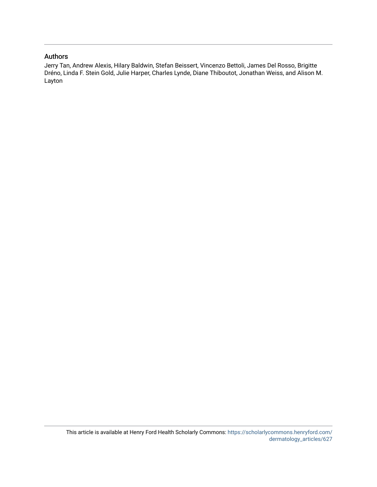### Authors

Jerry Tan, Andrew Alexis, Hilary Baldwin, Stefan Beissert, Vincenzo Bettoli, James Del Rosso, Brigitte Dréno, Linda F. Stein Gold, Julie Harper, Charles Lynde, Diane Thiboutot, Jonathan Weiss, and Alison M. Layton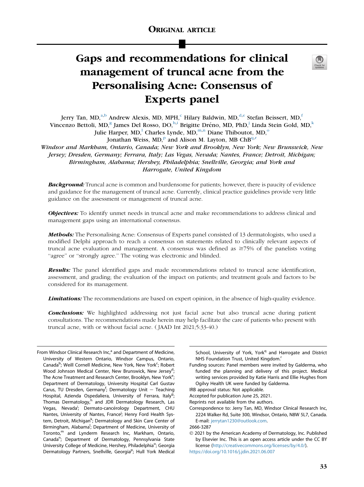# Gaps and recommendations for clinical management of truncal acne from the Personalising Acne: Consensus of Experts panel



Jerry T[a](#page-2-0)n, MD,<sup>a[,b](#page-2-1)</sup> Andrew Alexis, MD, MPH,<sup>[c](#page-2-1)</sup> Hilary Bal[d](#page-2-2)win, MD,<sup>d[,e](#page-2-3)</sup> Ste[f](#page-2-4)an Beissert, MD,<sup>f</sup> Vincenzo Bettoli, MD,<sup>[g](#page-2-5)</sup> James Del Rosso, DO, [h](#page-2-6)[,i](#page-2-7) Brigitte Dréno, MD, PhD,<sup>[j](#page-2-8)</sup> Linda Stein Gold, MD,<sup>[k](#page-2-9)</sup> Ju[l](#page-2-10)ie Harper,  $MD$ ,<sup>1</sup> Charles Ly[n](#page-2-12)de,  $MD$ ,<sup>[m,](#page-2-11)n</sup> Diane Thib[o](#page-2-13)utot,  $MD$ ,<sup>o</sup>

Jonathan Weiss,  $MD$ ,<su[p](#page-2-14)>p</sup> and Alison M. Layton, MB ChB<sup>[q,](#page-2-15)[r](#page-2-16)</sup>

Windsor and Markham, Ontario, Canada; New York and Brooklyn, New York; New Brunswick, New Jersey; Dresden, Germany; Ferrara, Italy; Las Vegas, Nevada; Nantes, France; Detroit, Michigan; Birmingham, Alabama; Hershey, Philadelphia; Snellville, Georgia; and York and Harrogate, United Kingdom

**Background:** Truncal acne is common and burdensome for patients; however, there is paucity of evidence and guidance for the management of truncal acne. Currently, clinical practice guidelines provide very little guidance on the assessment or management of truncal acne.

Objectives: To identify unmet needs in truncal acne and make recommendations to address clinical and management gaps using an international consensus.

**Methods:** The Personalising Acne: Consensus of Experts panel consisted of 13 dermatologists, who used a modified Delphi approach to reach a consensus on statements related to clinically relevant aspects of truncal acne evaluation and management. A consensus was defined as  $\geq 75\%$  of the panelists voting "agree" or "strongly agree." The voting was electronic and blinded.

Results: The panel identified gaps and made recommendations related to truncal acne identification, assessment, and grading; the evaluation of the impact on patients; and treatment goals and factors to be considered for its management.

**Limitations:** The recommendations are based on expert opinion, in the absence of high-quality evidence.

**Conclusions:** We highlighted addressing not just facial acne but also truncal acne during patient consultations. The recommendations made herein may help facilitate the care of patients who present with truncal acne, with or without facial acne. ( JAAD Int 2021;5:33-40.)

<span id="page-2-15"></span>School, University of York, York<sup>q</sup> and Harrogate and District NHS Foundation Trust, United Kingdom.<sup>r</sup>

<span id="page-2-16"></span>Funding sources: Panel members were invited by Galderma, who funded the planning and delivery of this project. Medical writing services provided by Katie Harris and Ellie Hughes from Ogilvy Health UK were funded by Galderma.

IRB approval status: Not applicable.

Accepted for publication June 25, 2021.

Reprints not available from the authors.

Correspondence to: Jerry Tan, MD, Windsor Clinical Research Inc, 2224 Walker Rd, Suite 300, Windsor, Ontario, N8W 5L7, Canada. E-mail: [jerrytan1230@outlook.com.](mailto:jerrytan1230@outlook.com)

2666-3287

 2021 by the American Academy of Dermatology, Inc. Published by Elsevier Inc. This is an open access article under the CC BY license [\(http://creativecommons.org/licenses/by/4.0/\)](http://creativecommons.org/licenses/by/4.0/). <https://doi.org/10.1016/j.jdin.2021.06.007>

<span id="page-2-14"></span><span id="page-2-13"></span><span id="page-2-12"></span><span id="page-2-11"></span><span id="page-2-10"></span><span id="page-2-9"></span><span id="page-2-8"></span><span id="page-2-7"></span><span id="page-2-6"></span><span id="page-2-5"></span><span id="page-2-4"></span><span id="page-2-3"></span><span id="page-2-2"></span><span id="page-2-1"></span><span id="page-2-0"></span>From Windsor Clinical Research Inc,<sup>a</sup> and Department of Medicine, University of Western Ontario, Windsor Campus, Ontario, Canada<sup>b</sup>; Weill Cornell Medicine, New York, New York<sup>c</sup>; Robert Wood Johnson Medical Center, New Brunswick, New Jersey<sup>d</sup>; The Acne Treatment and Research Center, Brooklyn, New York<sup>e</sup>; Department of Dermatology, University Hospital Carl Gustav Carus, TU Dresden, Germany<sup>f</sup>; Dermatology Unit - Teaching Hospital, Azienda Ospedaliera, University of Ferrara, Italy<sup>g</sup>; Thomas Dermatology,<sup>h</sup> and JDR Dermatology Research, Las Vegas, Nevada<sup>i</sup>; Dermato-cancérology Department, CHU Nantes, University of Nantes, France<sup>j</sup>; Henry Ford Health System, Detroit, Michigan<sup>k</sup>; Dermatology and Skin Care Center of Birmingham, Alabama<sup>l</sup>; Department of Medicine, University of Toronto,<sup>m</sup> and Lynderm Research Inc, Markham, Ontario, Canada<sup>n</sup>; Department of Dermatology, Pennsylvania State University College of Medicine, Hershey, Philadelphia<sup>o</sup>; Georgia Dermatology Partners, Snellville, Georgia<sup>p</sup>; Hull York Medical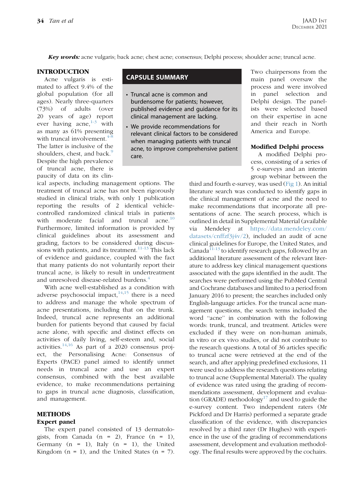**Key words:** acne vulgaris; back acne; chest acne; consensus; Delphi process; shoulder acne; truncal acne.

#### **INTRODUCTION**

Acne vulgaris is estimated to affect 9.4% of the global population (for all ages). Nearly three-quarters (73%) of adults (over 20 years of age) report ever having acne,  $1-3$  with as many as 61% presenting with truncal involvement.<sup>4-1</sup> The latter is inclusive of the shoulders, chest, and back.<sup>[9](#page-8-2)</sup> Despite the high prevalence of truncal acne, there is paucity of data on its clin-

ical aspects, including management options. The treatment of truncal acne has not been rigorously studied in clinical trials, with only 1 publication reporting the results of 2 identical vehiclecontrolled randomized clinical trials in patients with moderate facial and truncal acne.<sup>[10](#page-8-3)</sup> Furthermore, limited information is provided by clinical guidelines about its assessment and grading, factors to be considered during discussions with patients, and its treatment. $11-13$  This lack of evidence and guidance, coupled with the fact that many patients do not voluntarily report their truncal acne, is likely to result in undertreatment and unresolved disease-related burdens.<sup>[4](#page-8-1)</sup>

With acne well-established as a condition with adverse psychosocial impact, $14,15$  $14,15$  there is a need to address and manage the whole spectrum of acne presentations, including that on the trunk. Indeed, truncal acne represents an additional burden for patients beyond that caused by facial acne alone, with specific and distinct effects on activities of daily living, self-esteem and, social activities. $14,16$  $14,16$  As part of a 2020 consensus project, the Personalising Acne: Consensus of Experts (PACE) panel aimed to identify unmet needs in truncal acne and use an expert consensus, combined with the best available evidence, to make recommendations pertaining to gaps in truncal acne diagnosis, classification, and management.

#### METHODS

#### Expert panel

The expert panel consisted of 13 dermatologists, from Canada  $(n = 2)$ , France  $(n = 1)$ , Germany  $(n = 1)$ , Italy  $(n = 1)$ , the United Kingdom ( $n = 1$ ), and the United States ( $n = 7$ ).

## CAPSULE SUMMARY

- Truncal acne is common and burdensome for patients; however, published evidence and guidance for its clinical management are lacking.
- We provide recommendations for relevant clinical factors to be considered when managing patients with truncal acne, to improve comprehensive patient care.

Two chairpersons from the main panel oversaw the process and were involved in panel selection and Delphi design. The panelists were selected based on their expertise in acne and their reach in North America and Europe.

#### Modified Delphi process

A modified Delphi process, consisting of a series of 5 e-surveys and an interim group webinar between the

third and fourth e-survey, was used [\(Fig 1](#page-5-0)). An initial literature search was conducted to identify gaps in the clinical management of acne and the need to make recommendations that incorporate all presentations of acne. The search process, which is outlined in detail in Supplemental Material (available via Mendeley at [https://data.mendeley.com/](https://data.mendeley.com/datasets/cnffzf3j4v/2) [datasets/cnffzf3j4v/2\)](https://data.mendeley.com/datasets/cnffzf3j4v/2), included an audit of acne clinical guidelines for Europe, the United States, and Canada $11-13$  to identify research gaps, followed by an additional literature assessment of the relevant literature to address key clinical management questions associated with the gaps identified in the audit. The searches were performed using the PubMed Central and Cochrane databases and limited to a period from January 2016 to present; the searches included only English-language articles. For the truncal acne management questions, the search terms included the word ''acne'' in combination with the following words: trunk, truncal, and treatment. Articles were excluded if they were on non-human animals, in vitro or ex vivo studies, or did not contribute to the research questions. A total of 36 articles specific to truncal acne were retrieved at the end of the search, and after applying predefined exclusions, 11 were used to address the research questions relating to truncal acne (Supplemental Material). The quality of evidence was rated using the grading of recommendations assessment, development and evalua-tion (GRADE) methodology<sup>[17](#page-8-8)</sup> and used to guide the e-survey content. Two independent raters (Mr Pickford and Dr Harris) performed a separate grade classification of the evidence, with discrepancies resolved by a third rater (Dr Hughes) with experience in the use of the grading of recommendations assessment, development and evaluation methodology. The final results were approved by the cochairs.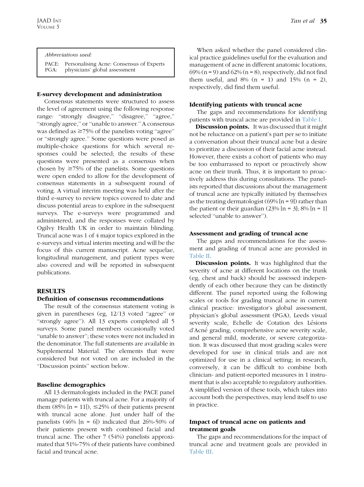#### Abbreviations used:

PACE: Personalising Acne: Consensus of Experts<br>PGA: physicians' global assessment physicians' global assessment

#### E-survey development and administration

Consensus statements were structured to assess the level of agreement using the following response range: "strongly disagree," "disagree," "agree," ''strongly agree,'' or ''unable to answer.'' A consensus was defined as  $\geq$ 75% of the panelists voting "agree" or ''strongly agree.'' Some questions were posed as multiple-choice questions for which several responses could be selected; the results of these questions were presented as a consensus when chosen by  $\geq$ 75% of the panelists. Some questions were open ended to allow for the development of consensus statements in a subsequent round of voting. A virtual interim meeting was held after the third e-survey to review topics covered to date and discuss potential areas to explore in the subsequent surveys. The e-surveys were programmed and administered, and the responses were collated by Ogilvy Health UK in order to maintain blinding. Truncal acne was 1 of 4 major topics explored in the e-surveys and virtual interim meeting and will be the focus of this current manuscript. Acne sequelae, longitudinal management, and patient types were also covered and will be reported in subsequent publications.

#### **RESULTS**

#### Definition of consensus recommendations

The result of the consensus statement voting is given in parentheses (eg, 12/13 voted ''agree'' or "strongly agree"). All 13 experts completed all 5 surveys. Some panel members occasionally voted ''unable to answer''; these votes were not included in the denominator. The full statements are available in Supplemental Material. The elements that were considered but not voted on are included in the ''Discussion points'' section below.

#### Baseline demographics

All 13 dermatologists included in the PACE panel manage patients with truncal acne. For a majority of them (85% [n = 11]),  $\leq$ 25% of their patients present with truncal acne alone. Just under half of the panelists  $(46\%$  [n = 6]) indicated that 26%-50% of their patients present with combined facial and truncal acne. The other 7 (54%) panelists approximated that 51%-75% of their patients have combined facial and truncal acne.

When asked whether the panel considered clinical practice guidelines useful for the evaluation and management of acne in different anatomic locations,  $69\%$  (n = 9) and  $62\%$  (n = 8), respectively, did not find them useful, and  $8\%$  (n = 1) and  $15\%$  (n = 2), respectively, did find them useful.

#### Identifying patients with truncal acne

The gaps and recommendations for identifying patients with truncal acne are provided in [Table I](#page-5-1).

Discussion points. It was discussed that it might not be reluctance on a patient's part per se to initiate a conversation about their truncal acne but a desire to prioritize a discussion of their facial acne instead. However, there exists a cohort of patients who may be too embarrassed to report or proactively show acne on their trunk. Thus, it is important to proactively address this during consultations. The panelists reported that discussions about the management of truncal acne are typically initiated by themselves as the treating dermatologist  $(69\%$  [n = 9]) rather than the patient or their guardian  $(23\%$  [n = 3]; 8% [n = 1] selected ''unable to answer'').

#### Assessment and grading of truncal acne

The gaps and recommendations for the assessment and grading of truncal acne are provided in [Table II](#page-5-2).

Discussion points. It was highlighted that the severity of acne at different locations on the trunk (eg, chest and back) should be assessed independently of each other because they can be distinctly different. The panel reported using the following scales or tools for grading truncal acne in current clinical practice: investigator's global assessment, physician's global assessment (PGA), Leeds visual severity scale, Echelle de Cotation des Lésions d'Acné grading, comprehensive acne severity scale, and general mild, moderate, or severe categorization. It was discussed that most grading scales were developed for use in clinical trials and are not optimized for use in a clinical setting; in research, conversely, it can be difficult to combine both clinician- and patient-reported measures in 1 instrument that is also acceptable to regulatory authorities. A simplified version of these tools, which takes into account both the perspectives, may lend itself to use in practice.

#### Impact of truncal acne on patients and treatment goals

The gaps and recommendations for the impact of truncal acne and treatment goals are provided in [Table III.](#page-5-3)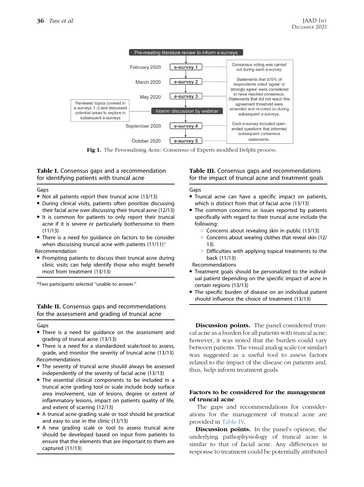<span id="page-5-0"></span>

Fig 1. The Personalising Acne: Consensus of Experts modified Delphi process.

<span id="page-5-1"></span>Table I. Consensus gaps and a recommendation for identifying patients with truncal acne

Gaps

- $\bullet$  Not all patients report their truncal acne (13/13)
- During clinical visits, patients often prioritize discussing their facial acne over discussing their truncal acne (12/13)
- It is common for patients to only report their truncal acne if it is severe or particularly bothersome to them (11/13)
- There is a need for guidance on factors to be consider when discussing truncal acne with patients  $(11/11)^*$ Recommendation
- Prompting patients to discuss their truncal acne during clinic visits can help identify those who might benefit most from treatment (13/13)

\*Two participants selected ''unable to answer.''

<span id="page-5-2"></span>Table II. Consensus gaps and recommendations for the assessment and grading of truncal acne

Gaps

- There is a need for guidance on the assessment and grading of truncal acne (13/13)
- There is a need for a standardized scale/tool to assess, grade, and monitor the severity of truncal acne (13/13) Recommendations
- The severity of truncal acne should always be assessed independently of the severity of facial acne (13/13)
- The essential clinical components to be included in a truncal acne grading tool or scale include body surface area involvement, size of lesions, degree or extent of inflammatory lesions, impact on patients quality of life, and extent of scarring (12/13)
- <sup>d</sup> A truncal acne grading scale or tool should be practical and easy to use in the clinic (13/13)
- A new grading scale or tool to assess truncal acne should be developed based on input from patients to ensure that the elements that are important to them are captured (11/13)

<span id="page-5-3"></span>Table III. Consensus gaps and recommendations for the impact of truncal acne and treatment goals

#### Gaps

- Truncal acne can have a specific impact on patients, which is distinct from that of facial acne (13/13)
- The common concerns or issues reported by patients specifically with regard to their truncal acne include the following:
	- $\circ$  Concerns about revealing skin in public (13/13)
	- $\circ$  Concerns about wearing clothes that reveal skin (12/ 13)
	- $\circ$  Difficulties with applying topical treatments to the back (11/13)

Recommendations

- Treatment goals should be personalized to the individual patient depending on the specific impact of acne in certain regions (13/13)
- The specific burden of disease on an individual patient should influence the choice of treatment (13/13)

**Discussion points.** The panel considered truncal acne as a burden for all patients with truncal acne; however, it was noted that the burden could vary between patients. The visual analog scale (or similar) was suggested as a useful tool to assess factors related to the impact of the disease on patients and, thus, help inform treatment goals.

#### Factors to be considered for the management of truncal acne

The gaps and recommendations for considerations for the management of truncal acne are provided in [Table IV.](#page-6-0)

**Discussion points.** In the panel's opinion, the underlying pathophysiology of truncal acne is similar to that of facial acne. Any differences in response to treatment could be potentially attributed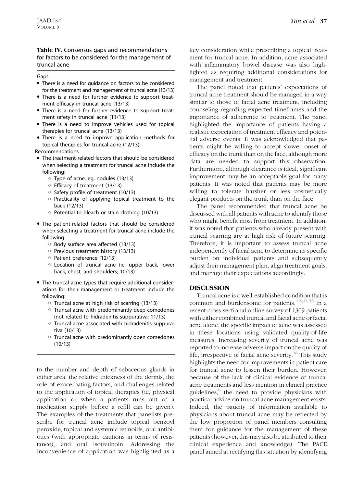#### <span id="page-6-0"></span>Table IV. Consensus gaps and recommendations for factors to be considered for the management of truncal acne

#### Gaps

- There is a need for guidance on factors to be considered for the treatment and management of truncal acne (13/13)
- There is a need for further evidence to support treatment efficacy in truncal acne (13/13)
- There is a need for further evidence to support treatment safety in truncal acne (11/13)
- There is a need to improve vehicles used for topical therapies for truncal acne (13/13)
- There is a need to improve application methods for topical therapies for truncal acne (12/13)

Recommendations

- The treatment-related factors that should be considered when selecting a treatment for truncal acne include the following:
	- $\circ$  Type of acne, eg, nodules (13/13)
	- $\circ$  Efficacy of treatment (13/13)
	- $\circ$  Safety profile of treatment (10/13)
	- $\circ$  Practicality of applying topical treatment to the back (12/13)
	- $\circ$  Potential to bleach or stain clothing (10/13)
- The patient-related factors that should be considered when selecting a treatment for truncal acne include the following:
	- $\circ$  Body surface area affected (13/13)
	- $\circ$  Previous treatment history (13/13)
	- O Patient preference (12/13)
	- o Location of truncal acne (ie, upper back, lower back, chest, and shoulders; 10/13)
- The truncal acne types that require additional considerations for their management or treatment include the following:
	- $\circ$  Truncal acne at high risk of scarring (13/13)
	- $\circ$  Truncal acne with predominantly deep comedones (not related to hidradenitis suppurativa; 11/13)
	- $\circ$  Truncal acne associated with hidradenitis suppurativa (10/13)
	- $\circ$  Truncal acne with predominantly open comedones (10/13)

to the number and depth of sebaceous glands in either area, the relative thickness of the dermis, the role of exacerbating factors, and challenges related to the application of topical therapies (ie, physical application or when a patients runs out of a medication supply before a refill can be given). The examples of the treatments that panelists prescribe for truncal acne include topical benzoyl peroxide, topical and systemic retinoids, oral antibiotics (with appropriate cautions in terms of resistance), and oral isotretinoin. Addressing the inconvenience of application was highlighted as a

key consideration while prescribing a topical treatment for truncal acne. In addition, acne associated with inflammatory bowel disease was also highlighted as requiring additional considerations for management and treatment.

The panel noted that patients' expectations of truncal acne treatment should be managed in a way similar to those of facial acne treatment, including counseling regarding expected timeframes and the importance of adherence to treatment. The panel highlighted the importance of patients having a realistic expectation of treatment efficacy and potential adverse events. It was acknowledged that patients might be willing to accept slower onset of efficacy on the trunk than on the face, although more data are needed to support this observation. Furthermore, although clearance is ideal, significant improvement may be an acceptable goal for many patients. It was noted that patients may be more willing to tolerate harsher or less cosmetically elegant products on the trunk than on the face.

The panel recommended that truncal acne be discussed with all patients with acne to identify those who might benefit most from treatment. In addition, it was noted that patients who already present with truncal scarring are at high risk of future scarring. Therefore, it is important to assess truncal acne independently of facial acne to determine its specific burden on individual patients and subsequently adjust their management plan, align treatment goals, and manage their expectations accordingly.

#### DISCUSSION

Truncal acne is a well-established condition that is common and burdensome for patients. $4-8,14-16$  $4-8,14-16$  In a recent cross-sectional online survey of 1309 patients with either combined truncal and facial acne or facial acne alone, the specific impact of acne was assessed in these locations using validated quality-of-life measures. Increasing severity of truncal acne was reported to increase adverse impact on the quality of life, irrespective of facial acne severity.<sup>16</sup> This study highlights the need for improvements in patient care for truncal acne to lessen their burden. However, because of the lack of clinical evidence of truncal acne treatments and less mention in clinical practice guidelines,<sup>[8](#page-8-9)</sup> the need to provide physicians with practical advice on truncal acne management exists. Indeed, the paucity of information available to physicians about truncal acne may be reflected by the low proportion of panel members consulting them for guidance for the management of these patients (however, this may also be attributed to their clinical experience and knowledge). The PACE panel aimed at rectifying this situation by identifying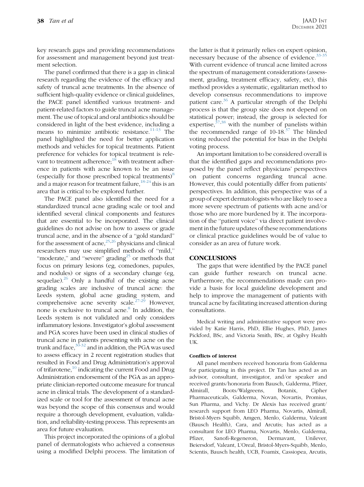key research gaps and providing recommendations for assessment and management beyond just treatment selection.

The panel confirmed that there is a gap in clinical research regarding the evidence of the efficacy and safety of truncal acne treatments. In the absence of sufficient high-quality evidence or clinical guidelines, the PACE panel identified various treatment- and patient-related factors to guide truncal acne management. The use of topical and oral antibiotics should be considered in light of the best evidence, including a means to minimize antibiotic resistance.<sup>11-13</sup> The panel highlighted the need for better application methods and vehicles for topical treatments. Patient preference for vehicles for topical treatment is relevant to treatment adherence; $^{18}$  $^{18}$  $^{18}$  with treatment adherence in patients with acne known to be an issue (especially for those prescribed topical treatments) $\delta$ and a major reason for treatment failure, $18-24$  this is an area that is critical to be explored further.

The PACE panel also identified the need for a standardized truncal acne grading scale or tool and identified several clinical components and features that are essential to be incorporated. The clinical guidelines do not advise on how to assess or grade truncal acne, and in the absence of a ''gold standard'' for the assessment of acne, $^{25,26}$  $^{25,26}$  $^{25,26}$  $^{25,26}$  physicians and clinical researchers may use simplified methods of ''mild,'' "moderate," and "severe" grading<sup>25</sup> or methods that focus on primary lesions (eg, comedones, papules, and nodules) or signs of a secondary change (eg, sequelae). $^{26}$  Only a handful of the existing acne grading scales are inclusive of truncal acne: the Leeds system, global acne grading system, and comprehensive acne severity scale.[27-29](#page-9-2) However, none is exclusive to truncal acne. $8$  In addition, the Leeds system is not validated and only considers inflammatory lesions. Investigator's global assessment and PGA scores have been used in clinical studies of truncal acne in patients presenting with acne on the trunk and face, $30-32$  and in addition, the PGA was used to assess efficacy in 2 recent registration studies that resulted in Food and Drug Administration's approval of trifarotene,<sup>[10](#page-8-3)</sup> indicating the current Food and Drug Administration endorsement of the PGA as an appropriate clinician-reported outcome measure for truncal acne in clinical trials. The development of a standardized scale or tool for the assessment of truncal acne was beyond the scope of this consensus and would require a thorough development, evaluation, validation, and reliability-testing process. This represents an area for future evaluation.

This project incorporated the opinions of a global panel of dermatologists who achieved a consensus using a modified Delphi process. The limitation of the latter is that it primarily relies on expert opinion, necessary because of the absence of evidence. $33-35$ With current evidence of truncal acne limited across the spectrum of management considerations (assessment, grading, treatment efficacy, safety, etc), this method provides a systematic, egalitarian method to develop consensus recommendations to improve patient care. $36$  A particular strength of the Delphi process is that the group size does not depend on statistical power; instead, the group is selected for expertise,  $37,38$  $37,38$  with the number of panelists within the recommended range of  $10-18.^{37}$  $10-18.^{37}$  $10-18.^{37}$  The blinded voting reduced the potential for bias in the Delphi voting process.

An important limitation to be considered overall is that the identified gaps and recommendations proposed by the panel reflect physicians' perspectives on patient concerns regarding truncal acne. However, this could potentially differ from patients' perspectives. In addition, this perspective was of a group of expert dermatologists who are likely to see a more severe spectrum of patients with acne and/or those who are more burdened by it. The incorporation of the ''patient voice'' via direct patient involvement in the future updates of these recommendations or clinical practice guidelines would be of value to consider as an area of future work.

#### **CONCLUSIONS**

The gaps that were identified by the PACE panel can guide further research on truncal acne. Furthermore, the recommendations made can provide a basis for local guideline development and help to improve the management of patients with truncal acne by facilitating increased attention during consultations.

Medical writing and administrative support were provided by Katie Harris, PhD, Ellie Hughes, PhD, James Pickford, BSc, and Victoria Smith, BSc, at Ogilvy Health UK.

#### Conflicts of interest

All panel members received honoraria from Galderma for participating in this project. Dr Tan has acted as an advisor, consultant, investigator, and/or speaker and received grants/honoraria from Bausch, Galderma, Pfizer, Almirall, Boots/Walgreens, Botanix, Cipher Pharmaceuticals, Galderma, Novan, Novartis, Promius, Sun Pharma, and Vichy. Dr Alexis has received grant/ research support from LEO Pharma, Novartis, Almirall, Bristol-Myers Squibb, Amgen, Menlo, Galderma, Valeant (Bausch Health), Cara, and Arcutis; has acted as a consultant for LEO Pharma, Novartis, Menlo, Galderma, Pfizer, Sanofi-Regeneron, Dermavant, Unilever, Beiersdorf, Valeant, L'Oreal, Bristol-Myers-Squibb, Menlo, Scientis, Bausch health, UCB, Foamix, Cassiopea, Arcutis,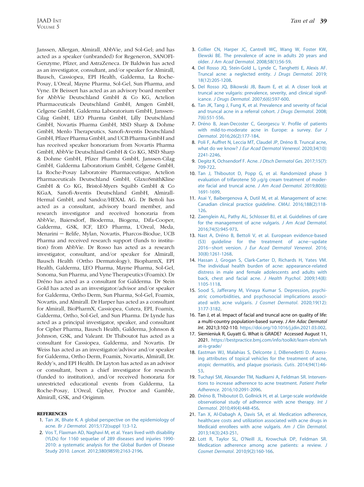Janssen, Allergan, Almirall, AbbVie, and Sol-Gel; and has acted as a speaker (unbranded) for Regeneron, SANOFI-Genzyme, Pfizer, and AstraZeneca. Dr Baldwin has acted as an investigator, consultant, and/or speaker for Almirall, Bausch, Cassiopea, EPI Health, Galderma, La Roche-Posay, L'Oreal, Mayne Pharma, Sol-Gel, Sun Pharma, and Vyne. Dr Beissert has acted as an advisory board member for AbbVie Deutschland GmbH & Co KG, Actelion Pharmaceuticals Deutschland GmbH, Amgen GmbH, Celgene GmbH, Galderma Laboratorium GmbH, Janssen-Cilag GmbH, LEO Pharma GmbH, Lilly Deutschland GmbH, Novartis Pharma GmbH, MSD Sharp & Dohme GmbH, Menlo Therapeutics, Sanofi-Aventis Deutschland GmbH, Pfizer Pharma GmbH, and UCB Pharma GmbH and has received speaker honorarium from Novartis Pharma GmbH, AbbVie Deutschland GmbH & Co KG, MSD Sharp & Dohme GmbH, Pfizer Pharma GmbH, Janssen-Cilag GmbH, Galderma Laboratorium GmbH, Celgene GmbH, La Roche-Posay Laboratoire Pharmaceutique, Actelion Pharmaceuticals Deutschland GmbH, GlaxoSmithKline GmbH & Co KG, Bristol-Myers Squibb GmbH & Co KGaA, Sanofi-Aventis Deutschland GmbH, Almirall-Hermal GmbH, and Sandoz/HEXAL AG. Dr Bettoli has acted as a consultant, advisory board member, and research investigator and received honoraria from AbbVie, Baiersdorf, Bioderma, Biogena, Difa-Cooper, Galderma, GSK, ICF, LEO Pharma, L'Oreal, Meda, Menarini - Relife, Mylan, Novartis, Pharcos-Biodue, UCB Pharma and received research support (funds to institution) from AbbVie. Dr Rosso has acted as a research investigator, consultant, and/or speaker for Almirall, Bausch Health (Ortho Dermatology), BiopharmX, EPI Health, Galderma, LEO Pharma, Mayne Pharma, Sol-Gel, Sonoma, Sun Pharma, and Vyne Therapeutics (Foamix). Dr Dréno has acted as a consultant for Galderma. Dr Stein Gold has acted as an investigator/advisor and/or speaker for Galderma, Ortho Derm, Sun Pharma, Sol-Gel, Foamix, Novartis, and Almirall. Dr Harper has acted as a consultant for Almirall, BioPharmX, Cassiopea, Cutera, EPI, Foamix, Galderma, Ortho, Sol-Gel, and Sun Pharma. Dr Lynde has acted as a principal investigator, speaker, and consultant for Cipher Pharma, Bausch Health, Galderma, Johnson & Johnson, GSK, and Valeant. Dr Thiboutot has acted as a consultant for Cassiopea, Galderma, and Novartis. Dr Weiss has acted as an investigator/advisor and/or speaker for Galderma, Ortho Derm, Foamix, Novartis, Almirall, Dr. Reddy's, and EPI Health. Dr Layton has acted as an advisor or consultant, been a chief investigator for research (funded to institution), and/or received honoraria for unrestricted educational events from Galderma, La Roche-Posay, L'Oreal, Cipher, Proctor and Gamble, Almirall, GSK, and Origimm.

#### <span id="page-8-0"></span>**REFERENCES**

- 1. [Tan JK, Bhate K. A global perspective on the epidemiology of](http://refhub.elsevier.com/S2666-3287(21)00053-5/sref1) acne. Br J Dermatol[. 2015;172\(suppl 1\):3-12](http://refhub.elsevier.com/S2666-3287(21)00053-5/sref1).
- 2. [Vos T, Flaxman AD, Naghavi M, et al. Years lived with disability](http://refhub.elsevier.com/S2666-3287(21)00053-5/sref2) [\(YLDs\) for 1160 sequelae of 289 diseases and injuries 1990-](http://refhub.elsevier.com/S2666-3287(21)00053-5/sref2) [2010: a systematic analysis for the Global Burden of Disease](http://refhub.elsevier.com/S2666-3287(21)00053-5/sref2) Study 2010. Lancet[. 2012;380\(9859\):2163-2196](http://refhub.elsevier.com/S2666-3287(21)00053-5/sref2).
- 3. [Collier CN, Harper JC, Cantrell WC, Wang W, Foster KW,](http://refhub.elsevier.com/S2666-3287(21)00053-5/sref3) [Elewski BE. The prevalence of acne in adults 20 years and](http://refhub.elsevier.com/S2666-3287(21)00053-5/sref3) older. [J Am Acad Dermatol](http://refhub.elsevier.com/S2666-3287(21)00053-5/sref3). 2008;58(1):56-59.
- <span id="page-8-1"></span>4. [Del Rosso JQ, Stein-Gold L, Lynde C, Tanghetti E, Alexis AF.](http://refhub.elsevier.com/S2666-3287(21)00053-5/sref4) [Truncal acne: a neglected entity.](http://refhub.elsevier.com/S2666-3287(21)00053-5/sref4) J Drugs Dermatol. 2019; [18\(12\):205-1208](http://refhub.elsevier.com/S2666-3287(21)00053-5/sref4).
- 5. [Del Rosso JQ, Bikowski JB, Baum E, et al. A closer look at](http://refhub.elsevier.com/S2666-3287(21)00053-5/sref5) [truncal acne vulgaris: prevalence, severity, and clinical signif](http://refhub.elsevier.com/S2666-3287(21)00053-5/sref5)icance. J Drugs Dermatol[. 2007;6\(6\):597-600](http://refhub.elsevier.com/S2666-3287(21)00053-5/sref5).
- 6. [Tan JK, Tang J, Fung K, et al. Prevalence and severity of facial](http://refhub.elsevier.com/S2666-3287(21)00053-5/sref6) [and truncal acne in a referral cohort.](http://refhub.elsevier.com/S2666-3287(21)00053-5/sref6) J Drugs Dermatol. 2008; [7\(6\):551-556](http://refhub.elsevier.com/S2666-3287(21)00053-5/sref6).
- 7. [Dr](http://refhub.elsevier.com/S2666-3287(21)00053-5/sref7)éno B, Jean-Decoster C, Georgescu V. Profile of patients [with mild-to-moderate acne in Europe: a survey.](http://refhub.elsevier.com/S2666-3287(21)00053-5/sref7) Eur J Dermatol[. 2016;26\(2\):177-184.](http://refhub.elsevier.com/S2666-3287(21)00053-5/sref7)
- <span id="page-8-9"></span>8. [Poli F, Auffret N, Leccia MT, Claudel JP, Dr](http://refhub.elsevier.com/S2666-3287(21)00053-5/sref8)éno B. Truncal acne, what do we know? [J Eur Acad Dermatol Venereol](http://refhub.elsevier.com/S2666-3287(21)00053-5/sref8). 2020;34(10): [2241-2246](http://refhub.elsevier.com/S2666-3287(21)00053-5/sref8).
- <span id="page-8-2"></span>9. [Degitz K, Ochsendorf F. Acne.](http://refhub.elsevier.com/S2666-3287(21)00053-5/sref9) J Dtsch Dermatol Ges. 2017;15(7): [709-722.](http://refhub.elsevier.com/S2666-3287(21)00053-5/sref9)
- <span id="page-8-3"></span>10. [Tan J, Thiboutot D, Popp G, et al. Randomized phase 3](http://refhub.elsevier.com/S2666-3287(21)00053-5/sref10) [evaluation of trifarotene 50](http://refhub.elsevier.com/S2666-3287(21)00053-5/sref10)  $\mu$ [g/g cream treatment of moder](http://refhub.elsevier.com/S2666-3287(21)00053-5/sref10)[ate facial and truncal acne.](http://refhub.elsevier.com/S2666-3287(21)00053-5/sref10) J Am Acad Dermatol. 2019;80(6): [1691-1699](http://refhub.elsevier.com/S2666-3287(21)00053-5/sref10).
- <span id="page-8-4"></span>11. [Asai Y, Baibergenova A, Dutil M, et al. Management of acne:](http://refhub.elsevier.com/S2666-3287(21)00053-5/sref11) [Canadian clinical practice guideline.](http://refhub.elsevier.com/S2666-3287(21)00053-5/sref11) CMAJ. 2016;188(2):118- [126](http://refhub.elsevier.com/S2666-3287(21)00053-5/sref11).
- 12. [Zaenglein AL, Pathy AL, Schlosser BJ, et al. Guidelines of care](http://refhub.elsevier.com/S2666-3287(21)00053-5/sref12) [for the management of acne vulgaris.](http://refhub.elsevier.com/S2666-3287(21)00053-5/sref12) J Am Acad Dermatol. [2016;74\(5\):945-973](http://refhub.elsevier.com/S2666-3287(21)00053-5/sref12).
- 13. [Nast A, Dr](http://refhub.elsevier.com/S2666-3287(21)00053-5/sref13)é[no B, Bettoli V, et al. European evidence-based](http://refhub.elsevier.com/S2666-3287(21)00053-5/sref13)  $(S3)$  quideline for the treatment of acne-update 2016-short version. [J Eur Acad Dermatol Venereol](http://refhub.elsevier.com/S2666-3287(21)00053-5/sref13). 2016; [30\(8\):1261-1268](http://refhub.elsevier.com/S2666-3287(21)00053-5/sref13).
- <span id="page-8-5"></span>14. [Hassan J, Grogan S, Clark-Carter D, Richards H, Yates VM.](http://refhub.elsevier.com/S2666-3287(21)00053-5/sref14) [The individual health burden of acne: appearance-related](http://refhub.elsevier.com/S2666-3287(21)00053-5/sref14) [distress in male and female adolescents and adults with](http://refhub.elsevier.com/S2666-3287(21)00053-5/sref14) [back, chest and facial acne.](http://refhub.elsevier.com/S2666-3287(21)00053-5/sref14) J Health Psychol. 2009;14(8): [1105-1118.](http://refhub.elsevier.com/S2666-3287(21)00053-5/sref14)
- <span id="page-8-6"></span>15. [Sood S, Jafferany M, Vinaya Kumar S. Depression, psychi](http://refhub.elsevier.com/S2666-3287(21)00053-5/sref15)[atric comorbidities, and psychosocial implications associ](http://refhub.elsevier.com/S2666-3287(21)00053-5/sref15)[ated with acne vulgaris.](http://refhub.elsevier.com/S2666-3287(21)00053-5/sref15) J Cosmet Dermatol. 2020;19(12): [3177-3182](http://refhub.elsevier.com/S2666-3287(21)00053-5/sref15).
- <span id="page-8-7"></span>16. Tan J, et al. Impact of facial and truncal acne on quality of life: a multi-country population-based survey. J Am Adac Dermatol Int. 2021;3:102-110. [https://doi.org/10.1016/j.jdin.2021.03.002.](https://doi.org/10.1016/j.jdin.2021.03.002)
- <span id="page-8-8"></span>17. Siemieniuk R, Guyatt G. What is GRADE? Accessed August 11, 2021. [https://bestpractice.bmj.com/info/toolkit/learn-ebm/wh](https://bestpractice.bmj.com/info/toolkit/learn-ebm/what-is-grade/) [at-is-grade/](https://bestpractice.bmj.com/info/toolkit/learn-ebm/what-is-grade/)
- <span id="page-8-10"></span>18. [Eastman WJ, Malahias S, Delconte J, DiBenedetti D. Assess](http://refhub.elsevier.com/S2666-3287(21)00053-5/sref18)[ing attributes of topical vehicles for the treatment of acne,](http://refhub.elsevier.com/S2666-3287(21)00053-5/sref18) [atopic dermatitis, and plaque psoriasis.](http://refhub.elsevier.com/S2666-3287(21)00053-5/sref18) Cutis. 2014;94(1):46- [53](http://refhub.elsevier.com/S2666-3287(21)00053-5/sref18).
- 19. [Tuchayi SM, Alexander TM, Nadkarni A, Feldman SR. Interven](http://refhub.elsevier.com/S2666-3287(21)00053-5/sref19)[tions to increase adherence to acne treatment.](http://refhub.elsevier.com/S2666-3287(21)00053-5/sref19) Patient Prefer Adherence[. 2016;10:2091-2096.](http://refhub.elsevier.com/S2666-3287(21)00053-5/sref19)
- 20. [Dr](http://refhub.elsevier.com/S2666-3287(21)00053-5/sref20)éno B, Thiboutot D, Gollnick H, et al. Large-scale worldwide [observational study of adherence with acne therapy.](http://refhub.elsevier.com/S2666-3287(21)00053-5/sref20) Int J Dermatol[. 2010;49\(4\):448-456.](http://refhub.elsevier.com/S2666-3287(21)00053-5/sref20)
- 21. [Tan X, Al-Dabagh A, Davis SA, et al. Medication adherence,](http://refhub.elsevier.com/S2666-3287(21)00053-5/sref21) [healthcare costs and utilization associated with acne drugs in](http://refhub.elsevier.com/S2666-3287(21)00053-5/sref21) [Medicaid enrollees with acne vulgaris.](http://refhub.elsevier.com/S2666-3287(21)00053-5/sref21) Am J Clin Dermatol. [2013;14\(3\):243-251](http://refhub.elsevier.com/S2666-3287(21)00053-5/sref21).
- 22. [Lott R, Taylor SL, O'Neill JL, Krowchuk DP, Feldman SR.](http://refhub.elsevier.com/S2666-3287(21)00053-5/sref22) [Medication adherence among acne patients: a review.](http://refhub.elsevier.com/S2666-3287(21)00053-5/sref22) J Cosmet Dermatol[. 2010;9\(2\):160-166](http://refhub.elsevier.com/S2666-3287(21)00053-5/sref22).